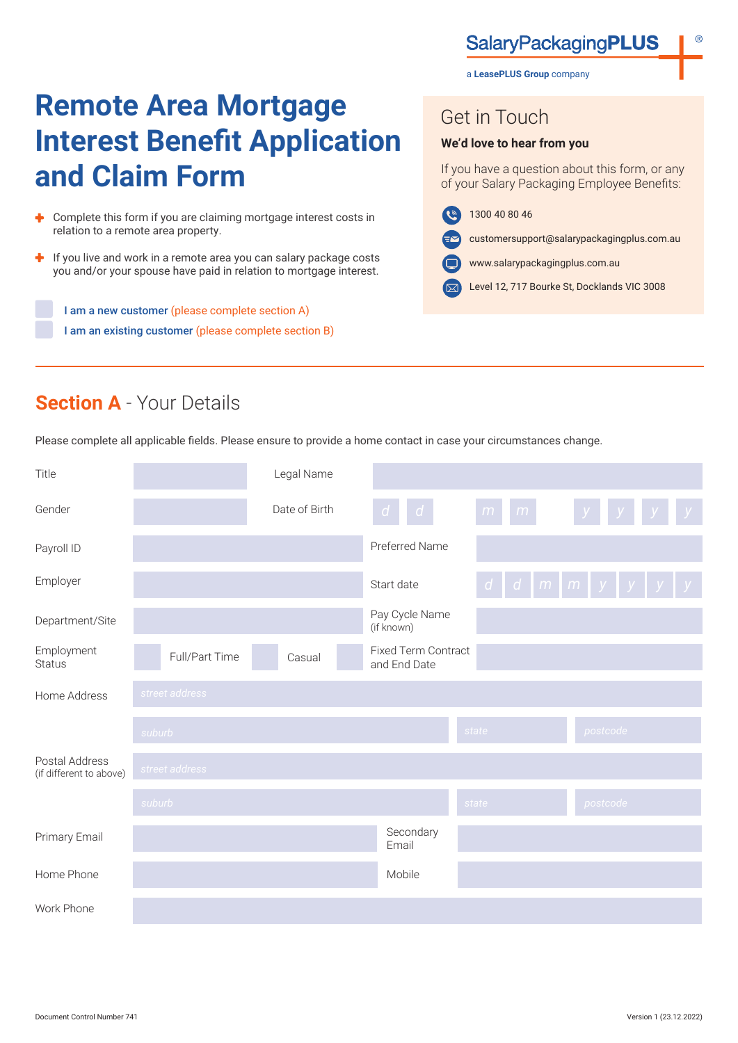## **SalaryPackagingPLUS**

a **LeasePLUS Group** company

# **Remote Area Mortgage Interest Benefit Application and Claim Form**

- A. Complete this form if you are claiming mortgage interest costs in relation to a remote area property.
- ÷ If you live and work in a remote area you can salary package costs you and/or your spouse have paid in relation to mortgage interest.

I am a new customer (please complete section A) I am an existing customer (please complete section B) Get in Touch

#### **We'd love to hear from you**

If you have a question about this form, or any of your Salary Packaging Employee Benefits:

- 1300 40 80 46  $\left( 0 \right)$ 
	- customersupport@salarypackagingplus.com.au
- www.salarypackagingplus.com.au
- Level 12, 717 Bourke St, Docklands VIC 3008

# **Section A** - Your Details

Please complete all applicable fields. Please ensure to provide a home contact in case your circumstances change.

| Title                                     |                | Legal Name    |                                            |        |                                               |
|-------------------------------------------|----------------|---------------|--------------------------------------------|--------|-----------------------------------------------|
| Gender                                    |                | Date of Birth | $d \mid d \mid$                            | m<br>m | y                                             |
| Payroll ID                                |                |               | Preferred Name                             |        |                                               |
| Employer                                  |                |               | Start date                                 |        | $d$   $d$   $m$   $m$   $y$   $y$   $y$   $y$ |
| Department/Site                           |                |               | Pay Cycle Name<br>(if known)               |        |                                               |
| Employment<br><b>Status</b>               | Full/Part Time | Casual        | <b>Fixed Term Contract</b><br>and End Date |        |                                               |
| Home Address                              | street address |               |                                            |        |                                               |
|                                           | suburb         |               |                                            | state  | postcode                                      |
| Postal Address<br>(if different to above) | street address |               |                                            |        |                                               |
|                                           | suburb         |               |                                            | state  | postcode                                      |
| Primary Email                             |                |               | Secondary<br>Email                         |        |                                               |
| Home Phone                                |                |               | Mobile                                     |        |                                               |
| Work Phone                                |                |               |                                            |        |                                               |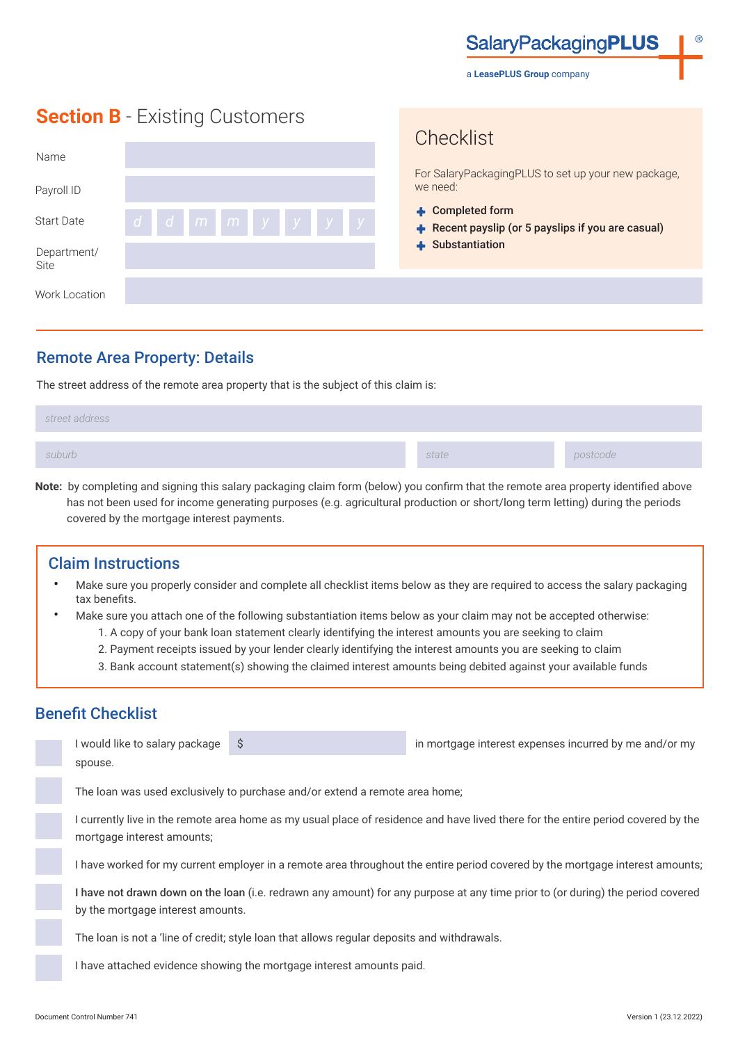**SalaryPackagingPLUS** 

a **LeasePLUS Group** company

**Chacklist** 

## **Section B** - Existing Customers

| Name                |              | UITUUNIUL<br>For SalaryPackagingPLUS to set up your new package,       |  |
|---------------------|--------------|------------------------------------------------------------------------|--|
| Payroll ID          |              | we need:                                                               |  |
| <b>Start Date</b>   | ddmm y y y y | + Completed form<br>+ Recent payslip (or 5 payslips if you are casual) |  |
| Department/<br>Site |              | + Substantiation                                                       |  |
| Work Location       |              |                                                                        |  |

#### Remote Area Property: Details

The street address of the remote area property that is the subject of this claim is:

| street address |       |          |
|----------------|-------|----------|
| suburb         | state | postcode |

**Note:** by completing and signing this salary packaging claim form (below) you confirm that the remote area property identified above has not been used for income generating purposes (e.g. agricultural production or short/long term letting) during the periods covered by the mortgage interest payments.

#### Claim Instructions

- Make sure you properly consider and complete all checklist items below as they are required to access the salary packaging tax benefits.
- Make sure you attach one of the following substantiation items below as your claim may not be accepted otherwise:
	- 1. A copy of your bank loan statement clearly identifying the interest amounts you are seeking to claim
	- 2. Payment receipts issued by your lender clearly identifying the interest amounts you are seeking to claim
	- 3. Bank account statement(s) showing the claimed interest amounts being debited against your available funds

### Benefit Checklist

| I would like to salary package                                                                                                                                  | S                                                                                          | in mortgage interest expenses incurred by me and/or my                                                                          |  |  |  |
|-----------------------------------------------------------------------------------------------------------------------------------------------------------------|--------------------------------------------------------------------------------------------|---------------------------------------------------------------------------------------------------------------------------------|--|--|--|
| spouse.                                                                                                                                                         |                                                                                            |                                                                                                                                 |  |  |  |
| The loan was used exclusively to purchase and/or extend a remote area home;                                                                                     |                                                                                            |                                                                                                                                 |  |  |  |
| l currently live in the remote area home as my usual place of residence and have lived there for the entire period covered by the<br>mortgage interest amounts; |                                                                                            |                                                                                                                                 |  |  |  |
| I have worked for my current employer in a remote area throughout the entire period covered by the mortgage interest amounts                                    |                                                                                            |                                                                                                                                 |  |  |  |
|                                                                                                                                                                 |                                                                                            | I have not drawn down on the loan (i.e. redrawn any amount) for any purpose at any time prior to (or during) the period covered |  |  |  |
| by the mortgage interest amounts.                                                                                                                               |                                                                                            |                                                                                                                                 |  |  |  |
|                                                                                                                                                                 | The loan is not a 'line of credit' style loan that allows requier denosits and withdrawals |                                                                                                                                 |  |  |  |

Ioan is not a 'line of credit; style loan that allows regular deposits and withdrawals.

I have attached evidence showing the mortgage interest amounts paid.